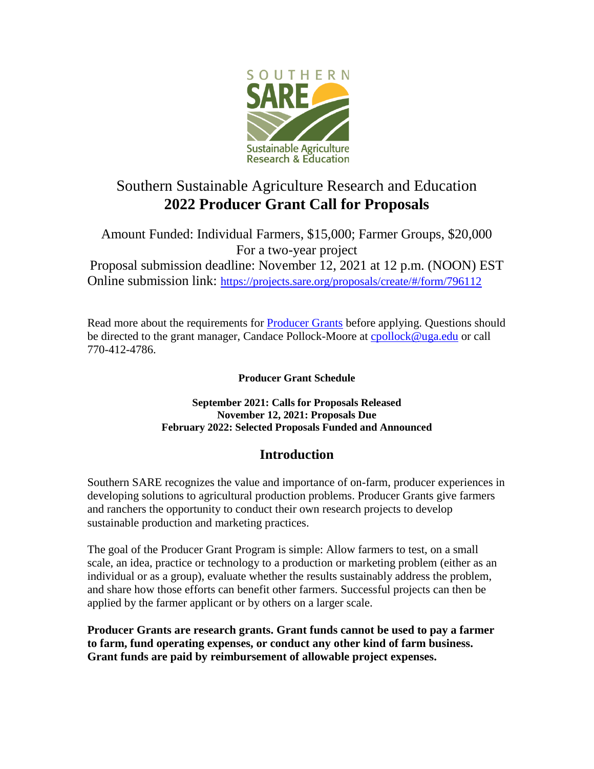

# Southern Sustainable Agriculture Research and Education **2022 Producer Grant Call for Proposals**

Amount Funded: Individual Farmers, \$15,000; Farmer Groups, \$20,000 For a two-year project Proposal submission deadline: November 12, 2021 at 12 p.m. (NOON) EST Online submission link: <https://projects.sare.org/proposals/create/#/form/796112>

Read more about the requirements for [Producer Grants](https://www.southernsare.org/Grants/Apply-for-a-Grant/Producer-Grants) before applying. Questions should be directed to the grant manager, Candace Pollock-Moore at [cpollock@uga.edu](mailto:cpollock@uga.edu) or call 770-412-4786.

**Producer Grant Schedule**

**September 2021: Calls for Proposals Released November 12, 2021: Proposals Due February 2022: Selected Proposals Funded and Announced**

# **Introduction**

Southern SARE recognizes the value and importance of on-farm, producer experiences in developing solutions to agricultural production problems. Producer Grants give farmers and ranchers the opportunity to conduct their own research projects to develop sustainable production and marketing practices.

The goal of the Producer Grant Program is simple: Allow farmers to test, on a small scale, an idea, practice or technology to a production or marketing problem (either as an individual or as a group), evaluate whether the results sustainably address the problem, and share how those efforts can benefit other farmers. Successful projects can then be applied by the farmer applicant or by others on a larger scale.

**Producer Grants are research grants. Grant funds cannot be used to pay a farmer to farm, fund operating expenses, or conduct any other kind of farm business. Grant funds are paid by reimbursement of allowable project expenses.**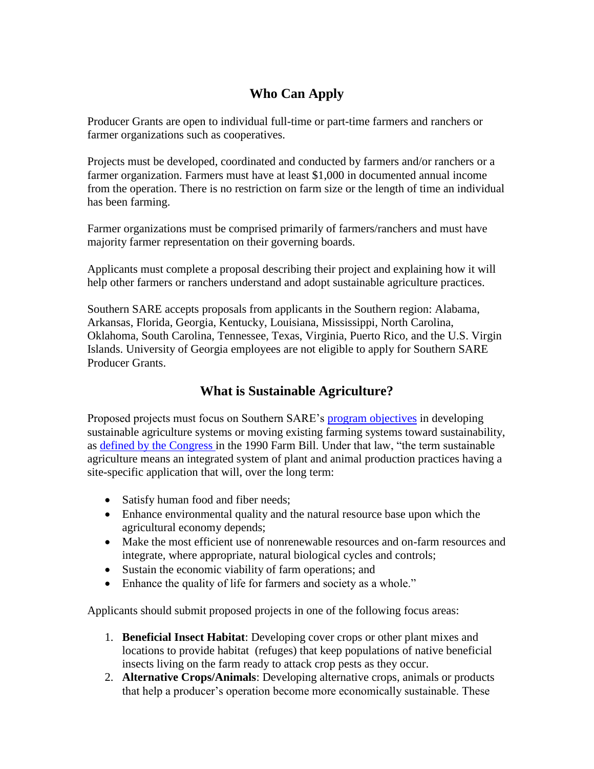# **Who Can Apply**

Producer Grants are open to individual full-time or part-time farmers and ranchers or farmer organizations such as cooperatives.

Projects must be developed, coordinated and conducted by farmers and/or ranchers or a farmer organization. Farmers must have at least \$1,000 in documented annual income from the operation. There is no restriction on farm size or the length of time an individual has been farming.

Farmer organizations must be comprised primarily of farmers/ranchers and must have majority farmer representation on their governing boards.

Applicants must complete a proposal describing their project and explaining how it will help other farmers or ranchers understand and adopt sustainable agriculture practices.

Southern SARE accepts proposals from applicants in the Southern region: Alabama, Arkansas, Florida, Georgia, Kentucky, Louisiana, Mississippi, North Carolina, Oklahoma, South Carolina, Tennessee, Texas, Virginia, Puerto Rico, and the U.S. Virgin Islands. University of Georgia employees are not eligible to apply for Southern SARE Producer Grants.

# **What is Sustainable Agriculture?**

Proposed projects must focus on Southern SARE's [program objectives](https://southern.sare.org/about/) in developing sustainable agriculture systems or moving existing farming systems toward sustainability, as [defined by the Congress](https://nifa.usda.gov/program/sustainable-agriculture-program) in the 1990 Farm Bill. Under that law, "the term sustainable agriculture means an integrated system of plant and animal production practices having a site-specific application that will, over the long term:

- Satisfy human food and fiber needs;
- Enhance environmental quality and the natural resource base upon which the agricultural economy depends;
- Make the most efficient use of nonrenewable resources and on-farm resources and integrate, where appropriate, natural biological cycles and controls;
- Sustain the economic viability of farm operations; and
- Enhance the quality of life for farmers and society as a whole."

Applicants should submit proposed projects in one of the following focus areas:

- 1. **Beneficial Insect Habitat**: Developing cover crops or other plant mixes and locations to provide habitat (refuges) that keep populations of native beneficial insects living on the farm ready to attack crop pests as they occur.
- 2. **Alternative Crops/Animals**: Developing alternative crops, animals or products that help a producer's operation become more economically sustainable. These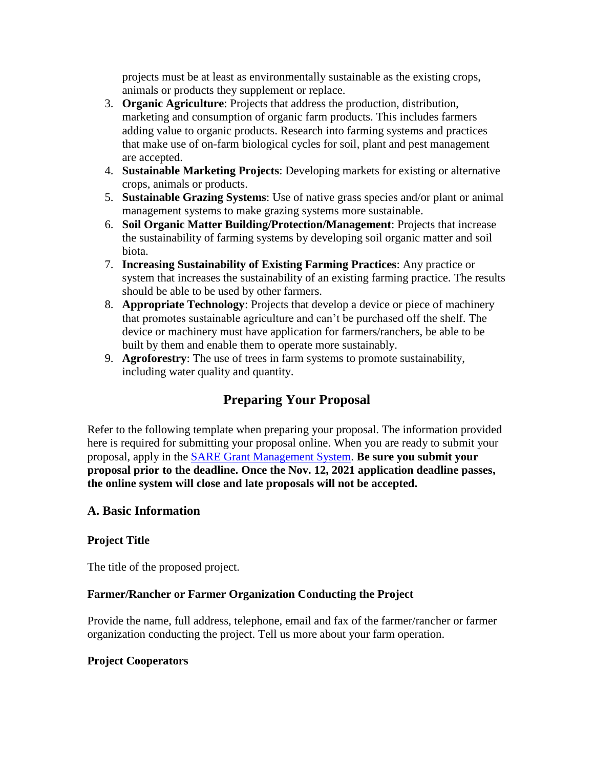projects must be at least as environmentally sustainable as the existing crops, animals or products they supplement or replace.

- 3. **Organic Agriculture**: Projects that address the production, distribution, marketing and consumption of organic farm products. This includes farmers adding value to organic products. Research into farming systems and practices that make use of on-farm biological cycles for soil, plant and pest management are accepted.
- 4. **Sustainable Marketing Projects**: Developing markets for existing or alternative crops, animals or products.
- 5. **Sustainable Grazing Systems**: Use of native grass species and/or plant or animal management systems to make grazing systems more sustainable.
- 6. **Soil Organic Matter Building/Protection/Management**: Projects that increase the sustainability of farming systems by developing soil organic matter and soil biota.
- 7. **Increasing Sustainability of Existing Farming Practices**: Any practice or system that increases the sustainability of an existing farming practice. The results should be able to be used by other farmers.
- 8. **Appropriate Technology**: Projects that develop a device or piece of machinery that promotes sustainable agriculture and can't be purchased off the shelf. The device or machinery must have application for farmers/ranchers, be able to be built by them and enable them to operate more sustainably.
- 9. **Agroforestry**: The use of trees in farm systems to promote sustainability, including water quality and quantity.

# **Preparing Your Proposal**

Refer to the following template when preparing your proposal. The information provided here is required for submitting your proposal online. When you are ready to submit your proposal, apply in the [SARE Grant Management System.](https://projects.sare.org/proposals/create/#/form/796112) **Be sure you submit your proposal prior to the deadline. Once the Nov. 12, 2021 application deadline passes, the online system will close and late proposals will not be accepted.**

### **A. Basic Information**

### **Project Title**

The title of the proposed project.

### **Farmer/Rancher or Farmer Organization Conducting the Project**

Provide the name, full address, telephone, email and fax of the farmer/rancher or farmer organization conducting the project. Tell us more about your farm operation.

### **Project Cooperators**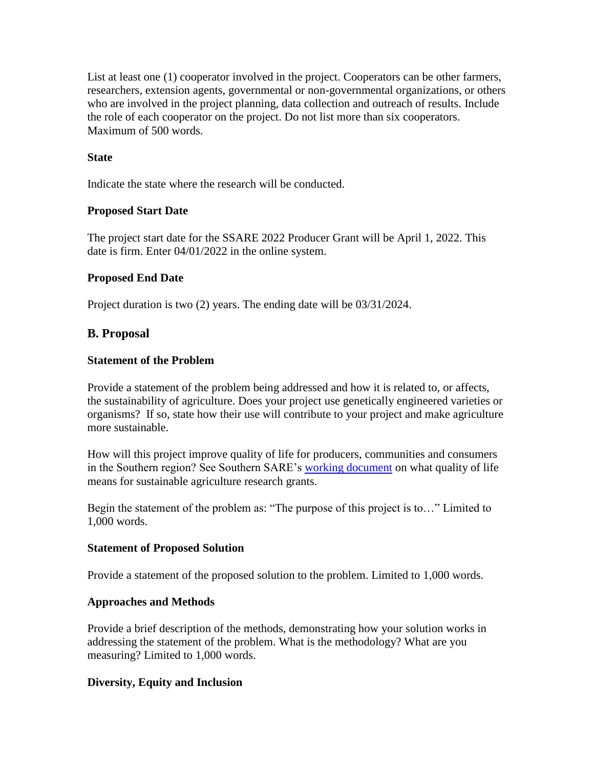List at least one (1) cooperator involved in the project. Cooperators can be other farmers, researchers, extension agents, governmental or non-governmental organizations, or others who are involved in the project planning, data collection and outreach of results. Include the role of each cooperator on the project. Do not list more than six cooperators. Maximum of 500 words.

### **State**

Indicate the state where the research will be conducted.

### **Proposed Start Date**

The project start date for the SSARE 2022 Producer Grant will be April 1, 2022. This date is firm. Enter 04/01/2022 in the online system.

### **Proposed End Date**

Project duration is two (2) years. The ending date will be 03/31/2024.

### **B. Proposal**

#### **Statement of the Problem**

Provide a statement of the problem being addressed and how it is related to, or affects, the sustainability of agriculture. Does your project use genetically engineered varieties or organisms? If so, state how their use will contribute to your project and make agriculture more sustainable.

How will this project improve quality of life for producers, communities and consumers in the Southern region? See Southern SARE's [working document](https://southern.sare.org/grants/apply-for-a-grant/research-education-grants/quality-of-life/) on what quality of life means for sustainable agriculture research grants.

Begin the statement of the problem as: "The purpose of this project is to…" Limited to 1,000 words.

#### **Statement of Proposed Solution**

Provide a statement of the proposed solution to the problem. Limited to 1,000 words.

#### **Approaches and Methods**

Provide a brief description of the methods, demonstrating how your solution works in addressing the statement of the problem. What is the methodology? What are you measuring? Limited to 1,000 words.

#### **Diversity, Equity and Inclusion**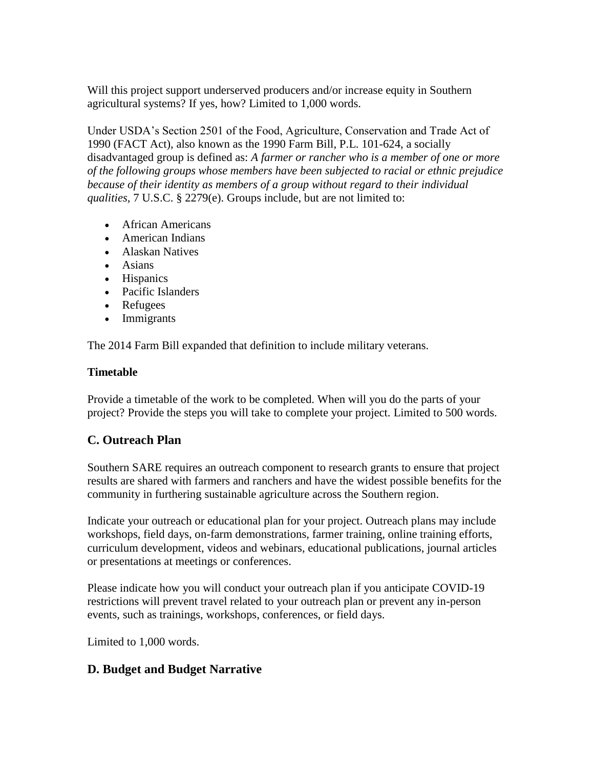Will this project support underserved producers and/or increase equity in Southern agricultural systems? If yes, how? Limited to 1,000 words.

Under USDA's Section 2501 of the Food, Agriculture, Conservation and Trade Act of 1990 (FACT Act), also known as the 1990 Farm Bill, P.L. 101-624, a socially disadvantaged group is defined as: *A farmer or rancher who is a member of one or more of the following groups whose members have been subjected to racial or ethnic prejudice because of their identity as members of a group without regard to their individual qualities,* 7 U.S.C. § 2279(e). Groups include, but are not limited to:

- African Americans
- American Indians
- Alaskan Natives
- Asians
- Hispanics
- Pacific Islanders
- Refugees
- Immigrants

The 2014 Farm Bill expanded that definition to include military veterans.

### **Timetable**

Provide a timetable of the work to be completed. When will you do the parts of your project? Provide the steps you will take to complete your project. Limited to 500 words.

# **C. Outreach Plan**

Southern SARE requires an outreach component to research grants to ensure that project results are shared with farmers and ranchers and have the widest possible benefits for the community in furthering sustainable agriculture across the Southern region.

Indicate your outreach or educational plan for your project. Outreach plans may include workshops, field days, on-farm demonstrations, farmer training, online training efforts, curriculum development, videos and webinars, educational publications, journal articles or presentations at meetings or conferences.

Please indicate how you will conduct your outreach plan if you anticipate COVID-19 restrictions will prevent travel related to your outreach plan or prevent any in-person events, such as trainings, workshops, conferences, or field days.

Limited to 1,000 words.

# **D. Budget and Budget Narrative**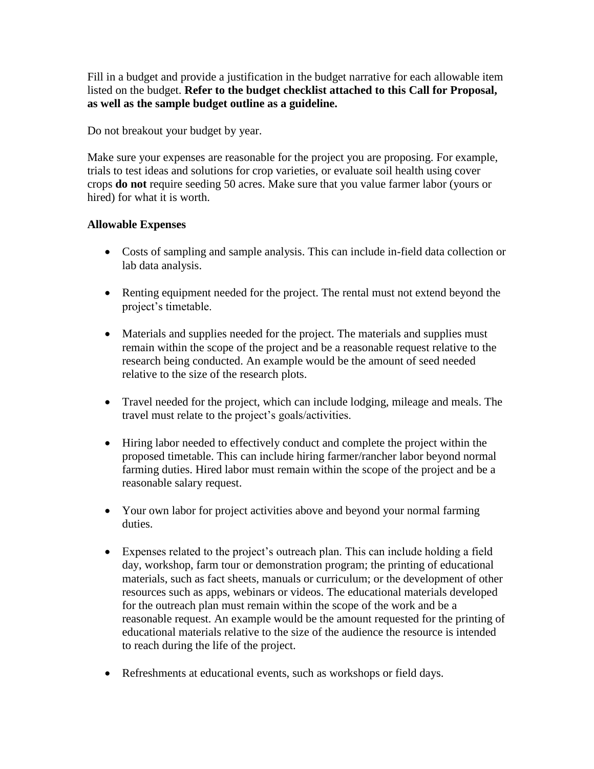Fill in a budget and provide a justification in the budget narrative for each allowable item listed on the budget. **Refer to the budget checklist attached to this Call for Proposal, as well as the sample budget outline as a guideline.**

Do not breakout your budget by year.

Make sure your expenses are reasonable for the project you are proposing. For example, trials to test ideas and solutions for crop varieties, or evaluate soil health using cover crops **do not** require seeding 50 acres. Make sure that you value farmer labor (yours or hired) for what it is worth.

### **Allowable Expenses**

- Costs of sampling and sample analysis. This can include in-field data collection or lab data analysis.
- Renting equipment needed for the project. The rental must not extend beyond the project's timetable.
- Materials and supplies needed for the project. The materials and supplies must remain within the scope of the project and be a reasonable request relative to the research being conducted. An example would be the amount of seed needed relative to the size of the research plots.
- Travel needed for the project, which can include lodging, mileage and meals. The travel must relate to the project's goals/activities.
- Hiring labor needed to effectively conduct and complete the project within the proposed timetable. This can include hiring farmer/rancher labor beyond normal farming duties. Hired labor must remain within the scope of the project and be a reasonable salary request.
- Your own labor for project activities above and beyond your normal farming duties.
- Expenses related to the project's outreach plan. This can include holding a field day, workshop, farm tour or demonstration program; the printing of educational materials, such as fact sheets, manuals or curriculum; or the development of other resources such as apps, webinars or videos. The educational materials developed for the outreach plan must remain within the scope of the work and be a reasonable request. An example would be the amount requested for the printing of educational materials relative to the size of the audience the resource is intended to reach during the life of the project.
- Refreshments at educational events, such as workshops or field days.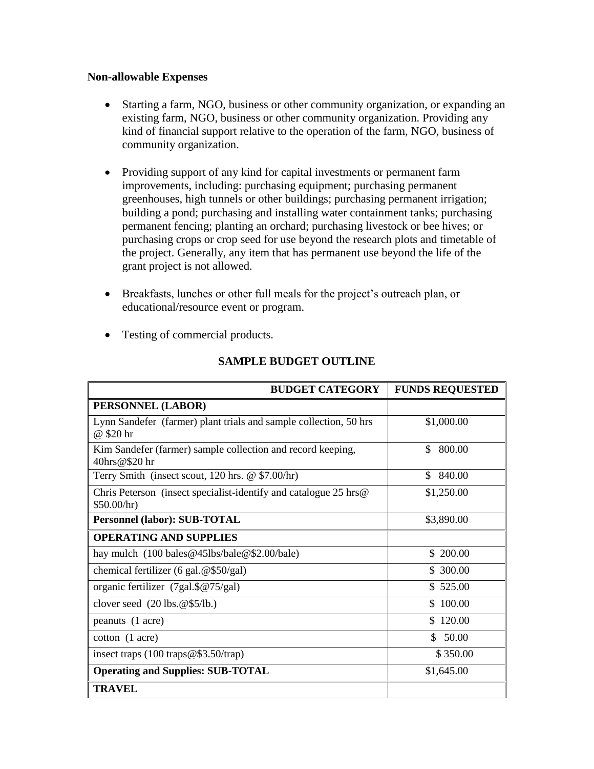#### **Non-allowable Expenses**

- Starting a farm, NGO, business or other community organization, or expanding an existing farm, NGO, business or other community organization. Providing any kind of financial support relative to the operation of the farm, NGO, business of community organization.
- Providing support of any kind for capital investments or permanent farm improvements, including: purchasing equipment; purchasing permanent greenhouses, high tunnels or other buildings; purchasing permanent irrigation; building a pond; purchasing and installing water containment tanks; purchasing permanent fencing; planting an orchard; purchasing livestock or bee hives; or purchasing crops or crop seed for use beyond the research plots and timetable of the project. Generally, any item that has permanent use beyond the life of the grant project is not allowed.
- Breakfasts, lunches or other full meals for the project's outreach plan, or educational/resource event or program.
- Testing of commercial products.

| <b>BUDGET CATEGORY</b>                                                           | <b>FUNDS REQUESTED</b> |
|----------------------------------------------------------------------------------|------------------------|
| PERSONNEL (LABOR)                                                                |                        |
| Lynn Sandefer (farmer) plant trials and sample collection, 50 hrs<br>@ \$20 hr   | \$1,000.00             |
| Kim Sandefer (farmer) sample collection and record keeping,<br>40hrs@\$20 hr     | \$<br>800.00           |
| Terry Smith (insect scout, $120$ hrs. @ \$7.00/hr)                               | 840.00<br>\$.          |
| Chris Peterson (insect specialist-identify and catalogue 25 hrs@)<br>\$50.00/hr) | \$1,250.00             |
| Personnel (labor): SUB-TOTAL                                                     | \$3,890.00             |
| <b>OPERATING AND SUPPLIES</b>                                                    |                        |
| hay mulch $(100 \text{ bales} @ 45 \text{lbs/bale} @ $2.00/\text{bale})$         | \$200.00               |
| chemical fertilizer (6 gal. $@$50/gal$ )                                         | \$300.00               |
| organic fertilizer $(7gal.\$ @ $75/gal)$                                         | \$525.00               |
| clover seed $(20 \text{ lbs.} @ $5/\text{lb.})$                                  | \$100.00               |
| peanuts (1 acre)                                                                 | \$120.00               |
| $\cot \theta$ (1 acre)                                                           | $\mathcal{S}$<br>50.00 |
| insect traps $(100 \text{ traps} @ $3.50/\text{trap})$                           | \$350.00               |
| <b>Operating and Supplies: SUB-TOTAL</b>                                         | \$1,645.00             |
| <b>TRAVEL</b>                                                                    |                        |

### **SAMPLE BUDGET OUTLINE**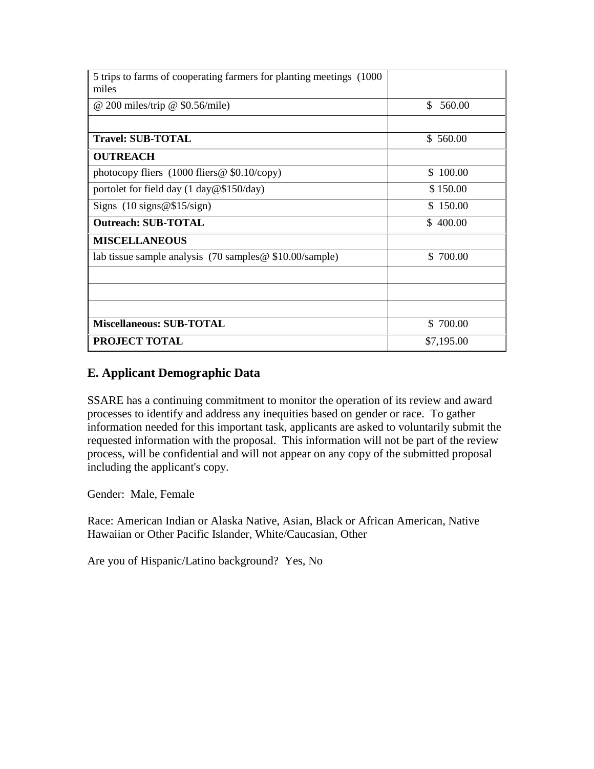| 5 trips to farms of cooperating farmers for planting meetings (1000)<br>miles |              |
|-------------------------------------------------------------------------------|--------------|
| $@$ 200 miles/trip $@$ \$0.56/mile)                                           | \$<br>560.00 |
|                                                                               |              |
| <b>Travel: SUB-TOTAL</b>                                                      | \$ 560.00    |
| <b>OUTREACH</b>                                                               |              |
| photocopy fliers $(1000$ fliers @ \$0.10/copy)                                | \$100.00     |
| portolet for field day $(1 \text{ day} @ $150/\text{day})$                    | \$150.00     |
| Signs $(10$ signs @\$15/sign)                                                 | \$150.00     |
| <b>Outreach: SUB-TOTAL</b>                                                    | \$400.00     |
| <b>MISCELLANEOUS</b>                                                          |              |
| lab tissue sample analysis $(70 \text{ samples} \& 10.00/\text{sample})$      | \$700.00     |
|                                                                               |              |
|                                                                               |              |
|                                                                               |              |
| <b>Miscellaneous: SUB-TOTAL</b>                                               | \$700.00     |
| PROJECT TOTAL                                                                 | \$7,195.00   |

### **E. Applicant Demographic Data**

SSARE has a continuing commitment to monitor the operation of its review and award processes to identify and address any inequities based on gender or race. To gather information needed for this important task, applicants are asked to voluntarily submit the requested information with the proposal. This information will not be part of the review process, will be confidential and will not appear on any copy of the submitted proposal including the applicant's copy.

Gender: Male, Female

Race: American Indian or Alaska Native, Asian, Black or African American, Native Hawaiian or Other Pacific Islander, White/Caucasian, Other

Are you of Hispanic/Latino background? Yes, No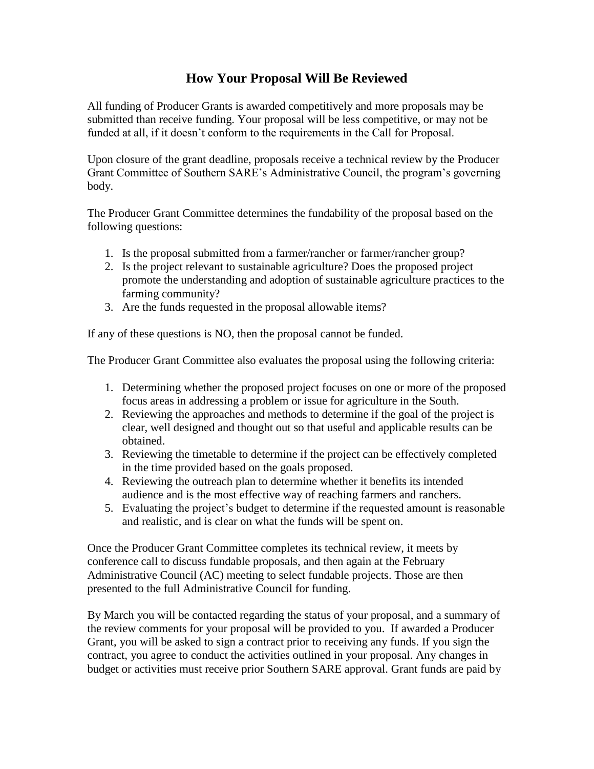# **How Your Proposal Will Be Reviewed**

All funding of Producer Grants is awarded competitively and more proposals may be submitted than receive funding. Your proposal will be less competitive, or may not be funded at all, if it doesn't conform to the requirements in the Call for Proposal.

Upon closure of the grant deadline, proposals receive a technical review by the Producer Grant Committee of Southern SARE's Administrative Council, the program's governing body.

The Producer Grant Committee determines the fundability of the proposal based on the following questions:

- 1. Is the proposal submitted from a farmer/rancher or farmer/rancher group?
- 2. Is the project relevant to sustainable agriculture? Does the proposed project promote the understanding and adoption of sustainable agriculture practices to the farming community?
- 3. Are the funds requested in the proposal allowable items?

If any of these questions is NO, then the proposal cannot be funded.

The Producer Grant Committee also evaluates the proposal using the following criteria:

- 1. Determining whether the proposed project focuses on one or more of the proposed focus areas in addressing a problem or issue for agriculture in the South.
- 2. Reviewing the approaches and methods to determine if the goal of the project is clear, well designed and thought out so that useful and applicable results can be obtained.
- 3. Reviewing the timetable to determine if the project can be effectively completed in the time provided based on the goals proposed.
- 4. Reviewing the outreach plan to determine whether it benefits its intended audience and is the most effective way of reaching farmers and ranchers.
- 5. Evaluating the project's budget to determine if the requested amount is reasonable and realistic, and is clear on what the funds will be spent on.

Once the Producer Grant Committee completes its technical review, it meets by conference call to discuss fundable proposals, and then again at the February Administrative Council (AC) meeting to select fundable projects. Those are then presented to the full Administrative Council for funding.

By March you will be contacted regarding the status of your proposal, and a summary of the review comments for your proposal will be provided to you. If awarded a Producer Grant, you will be asked to sign a contract prior to receiving any funds. If you sign the contract, you agree to conduct the activities outlined in your proposal. Any changes in budget or activities must receive prior Southern SARE approval. Grant funds are paid by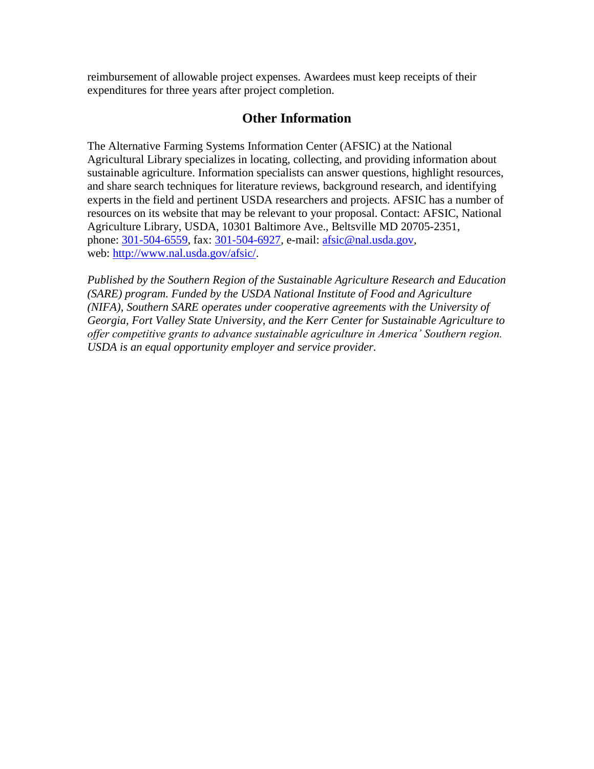reimbursement of allowable project expenses. Awardees must keep receipts of their expenditures for three years after project completion.

## **Other Information**

The Alternative Farming Systems Information Center (AFSIC) at the National Agricultural Library specializes in locating, collecting, and providing information about sustainable agriculture. Information specialists can answer questions, highlight resources, and share search techniques for literature reviews, background research, and identifying experts in the field and pertinent USDA researchers and projects. AFSIC has a number of resources on its website that may be relevant to your proposal. Contact: AFSIC, National Agriculture Library, USDA, 10301 Baltimore Ave., Beltsville MD 20705-2351, phone: [301-504-6559,](tel:%28301%29%20504-6559) fax: [301-504-6927,](tel:%28301%29%20504-6927) e-mail: [afsic@nal.usda.gov,](mailto:afsic@nal.usda.gov) web: [http://www.nal.usda.gov/afsic/.](http://www.nal.usda.gov/afsic/)

*Published by the Southern Region of the Sustainable Agriculture Research and Education (SARE) program. Funded by the USDA National Institute of Food and Agriculture (NIFA), Southern SARE operates under cooperative agreements with the University of Georgia, Fort Valley State University, and the Kerr Center for Sustainable Agriculture to offer competitive grants to advance sustainable agriculture in America' Southern region. USDA is an equal opportunity employer and service provider.*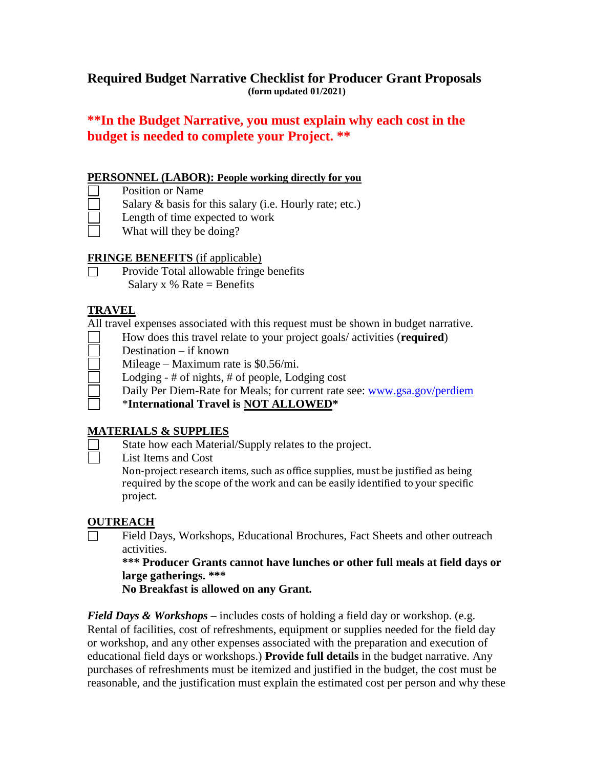## **Required Budget Narrative Checklist for Producer Grant Proposals (form updated 01/2021)**

# **\*\*In the Budget Narrative, you must explain why each cost in the budget is needed to complete your Project. \*\***

### **PERSONNEL (LABOR): People working directly for you**

- Position or Name
- Salary & basis for this salary (i.e. Hourly rate; etc.)
- Length of time expected to work
- What will they be doing?

### **FRINGE BENEFITS** (if applicable)

Provide Total allowable fringe benefits  $\Box$ Salary x  $%$  Rate = Benefits

### **TRAVEL**

All travel expenses associated with this request must be shown in budget narrative.

- How does this travel relate to your project goals/ activities (**required**)
- Destination if known
- Mileage Maximum rate is \$0.56/mi.
- Lodging # of nights, # of people, Lodging cost
	- Daily Per Diem-Rate for Meals; for current rate see: [www.gsa.gov/perdiem](http://www.gsa.gov/perdiem)
	- \***International Travel is NOT ALLOWED\***

### **MATERIALS & SUPPLIES**

- State how each Material/Supply relates to the project.
- List Items and Cost

Non-project research items, such as office supplies, must be justified as being required by the scope of the work and can be easily identified to your specific project.

### **OUTREACH**

 $\Box$ Field Days, Workshops, Educational Brochures, Fact Sheets and other outreach activities.

**\*\*\* Producer Grants cannot have lunches or other full meals at field days or large gatherings. \*\*\*** 

**No Breakfast is allowed on any Grant.**

*Field Days & Workshops* – includes costs of holding a field day or workshop. (e.g. Rental of facilities, cost of refreshments, equipment or supplies needed for the field day or workshop, and any other expenses associated with the preparation and execution of educational field days or workshops.) **Provide full details** in the budget narrative. Any purchases of refreshments must be itemized and justified in the budget, the cost must be reasonable, and the justification must explain the estimated cost per person and why these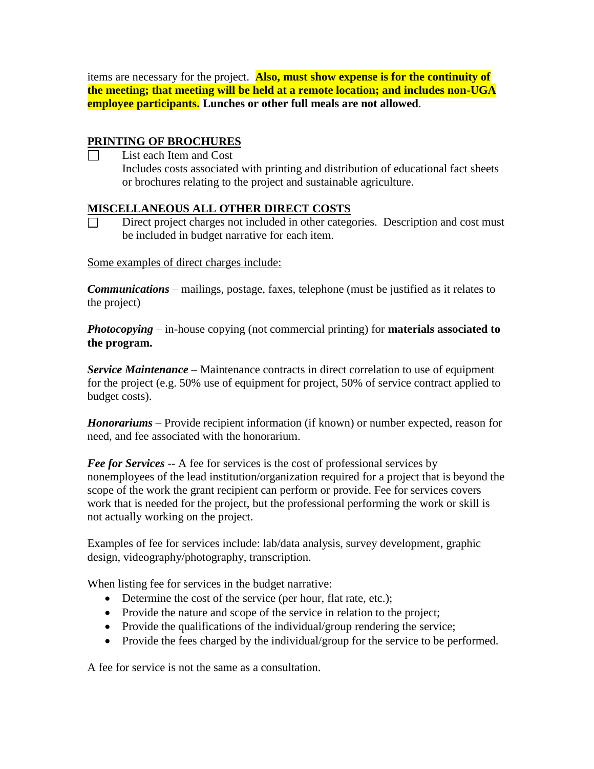items are necessary for the project. **Also, must show expense is for the continuity of the meeting; that meeting will be held at a remote location; and includes non-UGA employee participants. Lunches or other full meals are not allowed**.

### **PRINTING OF BROCHURES**

List each Item and Cost Includes costs associated with printing and distribution of educational fact sheets or brochures relating to the project and sustainable agriculture.

### **MISCELLANEOUS ALL OTHER DIRECT COSTS**

Direct project charges not included in other categories. Description and cost must be included in budget narrative for each item.

### Some examples of direct charges include:

*Communications* – mailings, postage, faxes, telephone (must be justified as it relates to the project)

*Photocopying* – in-house copying (not commercial printing) for **materials associated to the program.**

*Service Maintenance* – Maintenance contracts in direct correlation to use of equipment for the project (e.g. 50% use of equipment for project, 50% of service contract applied to budget costs).

*Honorariums* – Provide recipient information (if known) or number expected, reason for need, and fee associated with the honorarium.

*Fee for Services* -- A fee for services is the cost of professional services by nonemployees of the lead institution/organization required for a project that is beyond the scope of the work the grant recipient can perform or provide. Fee for services covers work that is needed for the project, but the professional performing the work or skill is not actually working on the project.

Examples of fee for services include: lab/data analysis, survey development, graphic design, videography/photography, transcription.

When listing fee for services in the budget narrative:

- Determine the cost of the service (per hour, flat rate, etc.);
- Provide the nature and scope of the service in relation to the project;
- Provide the qualifications of the individual/group rendering the service;
- Provide the fees charged by the individual/group for the service to be performed.

A fee for service is not the same as a consultation.